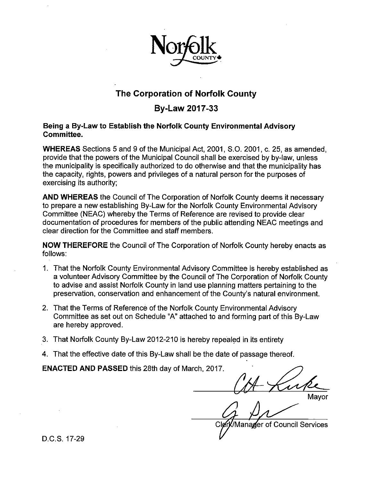

# **The Corporation of Norfolk County**

# **By-Law 2017-33**

# Being a By-Law to Establish the Norfolk County Environmental Advisory Committee.

WHEREAS Sections 5 and 9 of the Municipal Act, 2001, S.O. 2001, c. 25, as amended, provide that the powers of the Municipal Council shall be exercised by by-law, unless the municipality is specifically authorized to do otherwise and that the municipality has the capacity, rights, powers and privileges of a natural person for the purposes of exercising its authority;

AND WHEREAS the Council of The Corporation of Norfolk County deems it necessary to prepare a new establishing By-Law for the Norfolk County Environmental Advisory Committee (NEAC) whereby the Terms of Reference are revised to provide clear documentation of procedures for members of the public attending NEAC meetings and clear direction for the Committee and staff members.

NOW THEREFORE the Council of The Corporation of Norfolk County hereby enacts as follows:

- 1. That the Norfolk County Environmental Advisory Committee is hereby established as a volunteer Advisory Committee by the Council of The Corporation of Norfolk County to advise and assist Norfolk County in land use planning matters pertaining to the preservation, conservation and enhancement of the County's natural environment.
- 2. That the Terms of Reference of the Norfolk County Environmental Advisory Committee as set out on Schedule "A" attached to and forming part of this By-Law are hereby approved.
- 3. That Norfolk County By-Law 2012-210 is hereby repealed in its entirety
- 4. That the effective date of this By-Law shall be the date of passage thereof.

ENACTED AND PASSED this 28th day of March, 2017.

Mavor

Manager of Council Services

D.C.S. 17-29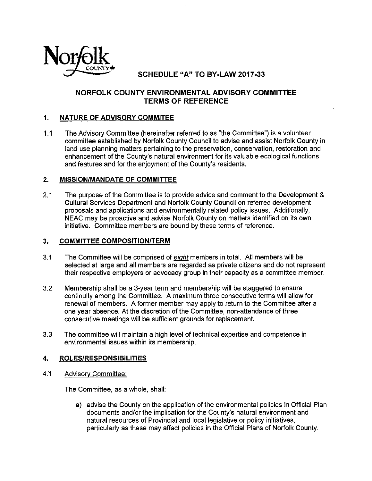

**SCHEDULE** "A" TO **BY-LAW 2017-33** 

#### **NORFOLK COUNTY ENVIRONMENTAL ADVISORY COMMITTEE TERMS OF REFERENCE**

#### **1. NATURE OF ADVISORY COMMITEE**

1.1 The Advisory Committee (hereinafter referred to as "the Committee") is a volunteer committee established by Norfolk County Council to advise and assist Norfolk County in land use planning matters pertaining to the preservation, conservation, restoration and enhancement of the County's natural environment for its valuable ecological functions and features and for the enjoyment of the County's residents.

#### **2. MISSION/MANDATE OF COMMITTEE**

2.1 The purpose of the Committee is to provide advice and comment to the Development & Cultural Services Department and Norfolk County Council on referred development proposals and applications and environmentally related policy issues. Additionally, NEAC may be proactive and advise Norfolk County on matters identified on its own initiative. Committee members are bound by these terms of reference.

#### **3. COMMITTEE COMPOSITION/TERM**

- 3.1 The Committee will be comprised of *eight* members in total. All members will be selected at large and all members are regarded as private citizens and do not represent their respective employers or advocacy group in their capacity as a committee member.
- 3.2 Membership shall be a 3-year term and membership will be staggered to ensure continuity among the Committee. A maximum three consecutive terms will allow for renewal of members. A former member may apply to return to the Committee after a one year absence. At the discretion of the Committee, non-attendance of three consecutive meetings will be sufficient grounds for replacement.
- 3.3 The committee will maintain a high level of technical expertise and competence in environmental issues within its membership.

# **4. ROLES/RESPONSIBILITIES**  4. ROLES/RESPONSIBI<br>4.1 Advisory Committee:

The Committee, as a whole, shall:

a) advise the County on the application of the environmental policies in Official Plan documents and/or the implication for the County's natural environment and natural resources of Provincial and local legislative or policy initiatives, particularly as these may affect policies in the Official Plans of Norfolk County.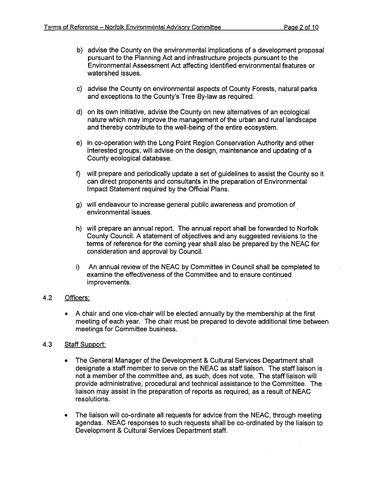- b) advise the County on the environmental implications of a development proposal pursuant to the Planning Act and infrastructure projects pursuant to the Environmental Assessment Act affecting identified environmental features or watershed issues.
- c) advise the County on environmental aspects of County Forests, natural parks and exceptions to the County's Tree By-law as required.
- d) on its own initiative, advise the County on new alternatives of an ecological nature which may improve the management of the urban and rural landscape and thereby contribute to the well-being of the entire ecosystem.
- e) in co-operation with the Long Point Region Conservation Authority and other interested groups, will advise on the design, maintenance and updating of a County ecological database.
- f) will prepare and periodically update a set of guidelines to assist the County so it can direct proponents and consultants in the preparation of Environmental Impact Statement required by the Official Plans.
- g) will endeavour to increase general public awareness and promotion of environmental issues.
- h) will prepare an annual report. The annual report shall be forwarded to Norfolk County Council. A statement of objectives and any suggested revisions to the terms of reference for the coming year shall also be prepared by the NEAC for consideration and approval by Council.
- i) An annual review of the NEAC by Committee in Council shall be completed to examine the effectiveness of the Committee and to ensure continued improvements.

#### 4.2 Officers:

• A chair and one vice-chair will be elected annually by the membership at the first meeting of each year. The chair must be prepared to devote additional time between meetings for Committee business.

#### 4.3 Staff Support:

- The General Manager of the Development & Cultural Services Department shall designate a staff member to serve on the NEAC as staff liaison. The staff liaison is not a member of the committee and, as such, does not vote. The staff liaison will provide administrative, procedural and technical assistance to the Committee. The liaison may assist in the preparation of reports as required, as a result of NEAC resolutions.
- The liaison will co-ordinate all requests for advice from the NEAC, through meeting agendas. NEAC responses to such requests shall be co-ordinated by the liaison to Development & Cultural Services Department staff.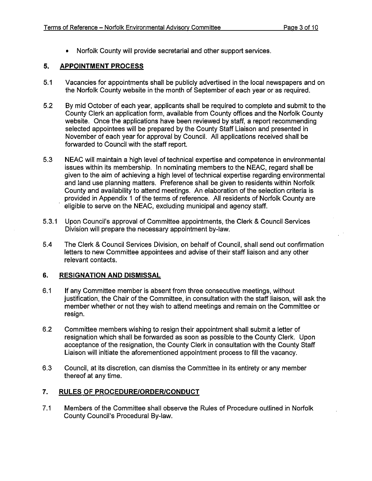• Norfolk County will provide secretarial and other support services.

# **5. APPOINTMENT PROCESS**

- 5. APPOINTMENT PROCESS<br>
5.1 Vacancies for appointments shall be publicly advertised in the local newspapers and or<br>
the Norfolk County website in the month of September of each year or as required.
	- 5.2 By mid October of each year, applicants shall be required to complete and submit to the County Clerk an application form, available from County offices and the Norfolk County website. Once the applications have been reviewed by staff, a report recommending selected appointees will be prepared by the County Staff Liaison and presented in November of each year for approval by Council. All applications received shall be forwarded to Council with the staff report.
	- 5.3 NEAC will maintain a high level of technical expertise and competence in environmental issues within its membership. In nominating members to the NEAC, regard shall be given to the aim of achieving a high level of technical expertise regarding environmental and land use planning matters. Preference shall be given to residents within Norfolk County and availability to attend meetings. An elaboration of the selection criteria is provided in Appendix 1 of the terms of reference. All residents of Norfolk County are eligible to serve on the NEAC, excluding municipal and agency staff.
	- 5.3.1 Upon Council's approval of Committee appointments, the Clerk & Council Services Division will prepare the necessary appointment by-law.
	- 5.4 The Clerk & Council Services Division, on behalf of Council, shall send out confirmation letters to new Committee appointees and advise of their staff liaison and any other relevant contacts.

## **6. RESIGNATION AND DISMISSAL**

- 6. RESIGNATION AND DISMISSAL<br>6.1 If any Committee member is absent from three consecutive meetings, without<br>justification, the Chair of the Committee, in consultation with the staff liaison, will ask the member whether or not they wish to attend meetings and remain on the Committee or resign.
	- 6.2 Committee members wishing to resign their appointment shall submit a letter of resignation which shall be forwarded as soon as possible to the County Clerk. Upon acceptance of the resignation, the County Clerk in consultation with the County Staff Liaison will initiate the aforementioned appointment process to fill the vacancy.
	- 6.3 Council, at its discretion, can dismiss the Committee in its entirety or any member thereof at any time.

## **7. RULES OF PROCEDURE/ORDER/CONDUCT**

7.1 Members of the Committee shall observe the Rules of Procedure outlined in Norfolk County Council's Procedural By-law.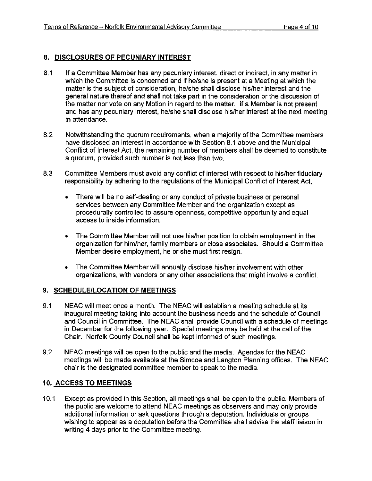#### **8. DISCLOSURES OF PECUNIARY INTEREST**

- 8.1 If a Committee Member has any pecuniary interest, direct or indirect, in any matter in which the Committee is concerned and if he/she is present at a Meeting at which the matter is the subject of consideration, he/she shall disclose his/her interest and the general nature thereof and shall not take part in the consideration or the discussion of the matter nor vote on any Motion in regard to the matter. If a Member is not present and has any pecuniary interest, he/she shall disclose his/her interest at the next meeting in attendance.
- 8.2 Notwithstanding the quorum requirements, when a majority of the Committee members have disclosed an interest in accordance with Section 8.1 above and the Municipal Conflict of Interest Act, the remaining number of members shall be deemed to constitute a quorum, provided such number is not less than two.
- 8.3 Committee Members must avoid any conflict of interest with respect to his/her fiduciary responsibility by adhering to the regulations of the Municipal Conflict of Interest Act,
	- There will be no self-dealing or any conduct of private business or personal services between any Committee Member and the organization except as procedurally controlled to assure openness, competitive opportunity and equal access to inside information.
	- The Committee Member will not use his/her position to obtain employment in the organization for him/her, family members or close associates. Should a Committee Member desire employment, he or she must first resign.
	- The Committee Member will annually disclose his/her involvement with other organizations, with vendors or any other associations that might involve a conflict.

#### **9. SCHEDULE/LOCATION OF MEETINGS**

- 9.1 NEAC will meet once a month. The NEAC will establish a meeting schedule at its inaugural meeting taking into account the business needs and the schedule of Council and Council in Committee. The NEAC shall provide Council with a schedule of meetings in December for the following year. Special meetings may be held at the call of the Chair. Norfolk County Council shall be kept informed of such meetings.
- 9.2 NEAC meetings will be open to the public and the media. Agendas for the NEAC meetings will be made available at the Simcoe and Langton Planning offices. The NEAC chair is the designated committee member to speak to the media.

#### **10. ACCESS TO MEETINGS**

10.1 Except as provided in this Section, all meetings shall be open to the public. Members of the public are welcome to attend NEAC meetings as observers and may only provide additional information or ask questions through a deputation. Individuals or groups wishing to appear as a deputation before the Committee shall advise the staff liaison in writing 4 days prior to the Committee meeting.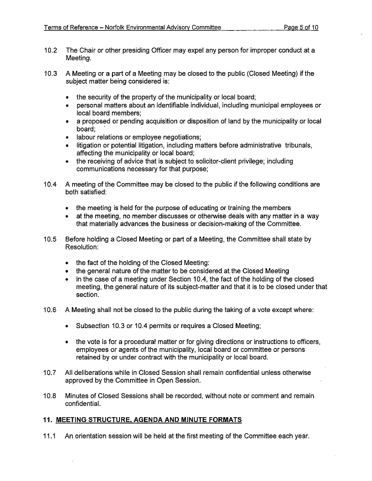- 10.2 The Chair or other presiding Officer may expel any person for improper conduct at a Meeting.
- 10.3 A Meeting or a part of a Meeting may be closed to the public (Closed Meeting) if the subject matter being considered is:
	- the security of the property of the municipality or local board;
	- personal matters about an identifiable individual, including municipal employees or local board members;
	- a proposed or pending acquisition or disposition of land by the municipality or local board;
	- • labour relations or employee negotiations;
	- litigation or potential litigation, including matters before administrative tribunals, affecting the municipality or local board;
	- the receiving of advice that is subject to solicitor-client privilege; including communications necessary for that purpose;
- 10.4 A meeting of the Committee may be closed to the public if the following conditions are both satisfied:
	- the meeting is held for the purpose of educating or training the members
	- at the meeting, no member discusses or otherwise deals with any matter in a way that materially advances the business or decision-making of the Committee.
- 10.5 Before holding a Closed Meeting or part of a Meeting, the Committee shall state by Resolution:
	- the fact of the holding of the Closed Meeting:
	- the general nature of the matter to be considered at the Closed Meeting
	- in the case of a meeting under Section 10.4, the fact of the holding of the closed meeting, the general nature of its subject-matter and that it is to be closed under that section.
- 10.6 A Meeting shall not be closed to the public during the taking of a vote except where:
	- Subsection 10.3 or 10.4 permits or requires a Closed Meeting;
	- the vote is for a procedural matter or for giving directions or instructions to officers, employees or agents of the municipality, local board or committee or persons retained by or under contract with the municipality or local board.
- 10.7 All deliberations while in Closed Session shall remain confidential unless otherwise approved by the Committee in Open Session.
- 10.8 Minutes of Closed Sessions shall be recorded, without note or comment and remain confidential.

## **11. MEETING STRUCTURE, AGENDA AND MINUTE FORMATS**

11.1 An orientation session will be held at the first meeting of the Committee each year.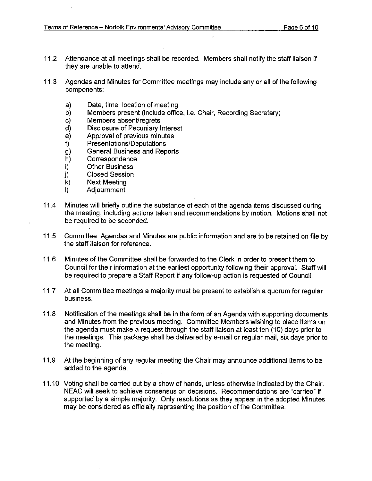- 11.2 Attendance at all meetings shall be recorded. Members shall notify the staff liaison if they are unable to attend.
- 11.3 Agendas and Minutes for Committee meetings may include any or all of the following components:
	- a) Date, time, location of meeting
	- b) Members present (include office, i.e. Chair, Recording Secretary)
	- c) Members absent/regrets
	- d) Disclosure of Pecuniary Interest
	- e) Approval of previous minutes
	- f) Presentations/Deputations
	- g) General Business and Reports<br>h) Correspondence
	- **Correspondence**
	- i) Other Business
	- j) Closed Session<br>k) Next Meeting
	- Next Meeting
	- I) Adjournment
- 11.4 Minutes will briefly outline the substance of each of the agenda items discussed during the meeting, including actions taken and recommendations by motion. Motions shall not be required to be seconded.
- 11.5 Committee Agendas and Minutes are public information and are to be retained on file by the staff liaison for reference.
- 11.6 Minutes of the Committee shall be forwarded to the Clerk in order to present them to Council for their information at the earliest opportunity following their approval. Staff will be required to prepare a Staff Report if any follow-up action is requested of Council.
- 11.7 At all Committee meetings a majority must be present to establish a quorum for regular business.
- 11.8 Notification of the meetings shall be in the form of an Agenda with supporting documents and Minutes from the previous meeting. Committee Members wishing to place items on the agenda must make a request through the staff liaison at least ten (10) days prior to the meetings. This package shall be delivered by e-mail or regular mail, six days prior to the meeting.
- 11.9 At the beginning of any regular meeting the Chair may announce additional items to be added to the agenda.
- 11.10 Voting shall be carried out by a show of hands, unless otherwise indicated by the Chair. NEAC will seek to achieve consensus on decisions. Recommendations are "carried" if supported by a simple majority. Only resolutions as they appear in the adopted Minutes may be considered as officially representing the position of the Committee.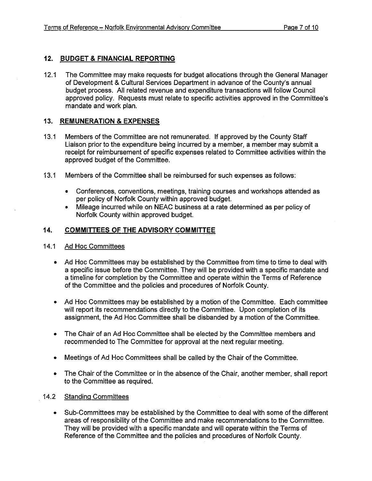#### **12. BUDGET** & **FINANCIAL REPORTING**

12.1 The Committee may make requests for budget allocations through the General Manager of Development & Cultural Services Department in advance of the County's annual budget process. All related revenue and expenditure transactions will follow Council approved policy. Requests must relate to specific activities approved in the Committee's mandate and work plan.

#### **13. REMUNERATION** & **EXPENSES**

- 13.1 Members of the Committee are not remunerated. If approved by the County Staff Liaison prior to the expenditure being incurred by a member, a member may submit a receipt for reimbursement of specific expenses related to Committee activities within the approved budget of the Committee.
- 13.1 Members of the Committee shall be reimbursed for such expenses as follows:
	- • Conferences, conventions, meetings, training courses and workshops attended as per policy of Norfolk County within approved budget.
	- Mileage incurred while on NEAC business at a rate determined as per policy of Norfolk County within approved budget.

#### **14. COMMITTEES OF THE ADVISORY COMMITTEE**

- 14.1 Ad Hoc Committees
	- Ad Hoc Committees may be established by the Committee from time to time to deal with a specific issue before the Committee. They will be provided with a specific mandate and a timeline for completion by the Committee and operate within the Terms of Reference of the Committee and the policies and procedures of Norfolk County.
	- Ad Hoc Committees may be established by a motion of the Committee. Each committee will report its recommendations directly to the Committee. Upon completion of its assignment, the Ad Hoc Committee shall be disbanded by a motion of the Committee.
	- The Chair of an Ad Hoc Committee shall be elected by the Committee members and recommended to The Committee for approval at the next regular meeting.
	- Meetings of Ad Hoc Committees shall be called by the Chair of the Committee.
	- The Chair of the Committee or in the absence of the Chair, another member, shall report to the Committee as required.

#### 14.2 Standing Committees

• Sub-Committees may be established by the Committee to deal with some of the different areas of responsibility of the Committee and make recommendations to the Committee. They will be provided with a specific mandate and will operate within the Terms of Reference of the Committee and the policies and procedures of Norfolk County.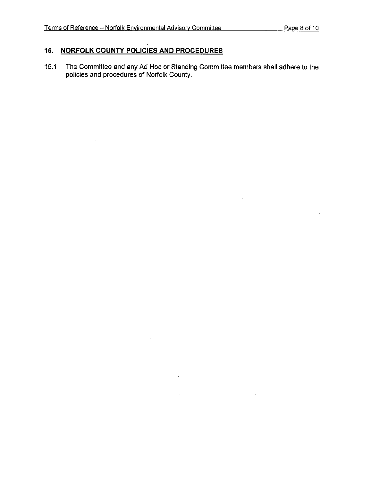$\ddot{\phantom{a}}$ 

# **15. NORFOLK COUNTY POLICIES AND PROCEDURES**

15.1 The Committee and any Ad Hoc or Standing Committee members shall adhere to the policies and procedures of Norfolk County.

 $\ddot{\phantom{a}}$ 

J.

 $\mathcal{L}$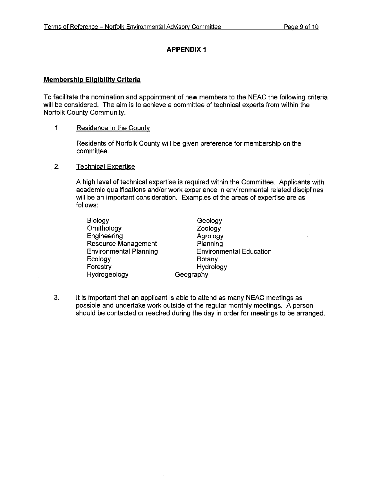# **APPENDIX** <sup>1</sup>

#### **Membership Eligibility Criteria**

To facilitate the nomination and appointment of new members to the NEAC the following criteria will be considered. The aim is to achieve a committee of technical experts from within the Norfolk County Community.

#### 1. Residence in the County

Residents of Norfolk County will be given preference for membership on the committee.

#### 2. Technical Expertise

A high level of technical expertise is required within the Committee. Applicants with academic qualifications and/or work experience in environmental related disciplines will be an important consideration. Examples of the areas of expertise are as follows:

| Biology                       | Geology                        |
|-------------------------------|--------------------------------|
| Ornithology                   | Zoology                        |
| Engineering                   | Agrology                       |
| <b>Resource Management</b>    | Planning                       |
| <b>Environmental Planning</b> | <b>Environmental Education</b> |
| Ecology                       | Botany                         |
| Forestry                      | Hydrology                      |
| Hydrogeology                  | Geography                      |
|                               |                                |

3. It is important that an applicant is able to attend as many NEAC meetings as possible and undertake work outside of the regular monthly meetings. A person should be contacted or reached during the day in order for meetings to be arranged.